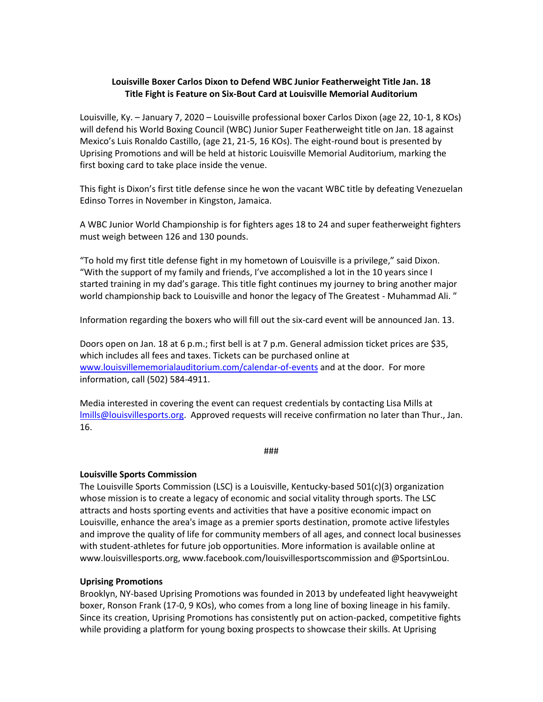## **Louisville Boxer Carlos Dixon to Defend WBC Junior Featherweight Title Jan. 18 Title Fight is Feature on Six-Bout Card at Louisville Memorial Auditorium**

Louisville, Ky. – January 7, 2020 – Louisville professional boxer Carlos Dixon (age 22, 10-1, 8 KOs) will defend his World Boxing Council (WBC) Junior Super Featherweight title on Jan. 18 against Mexico's Luis Ronaldo Castillo, (age 21, 21-5, 16 KOs). The eight-round bout is presented by Uprising Promotions and will be held at historic Louisville Memorial Auditorium, marking the first boxing card to take place inside the venue.

This fight is Dixon's first title defense since he won the vacant WBC title by defeating Venezuelan Edinso Torres in November in Kingston, Jamaica.

A WBC Junior World Championship is for fighters ages 18 to 24 and super featherweight fighters must weigh between 126 and 130 pounds.

"To hold my first title defense fight in my hometown of Louisville is a privilege," said Dixon. "With the support of my family and friends, I've accomplished a lot in the 10 years since I started training in my dad's garage. This title fight continues my journey to bring another major world championship back to Louisville and honor the legacy of The Greatest - Muhammad Ali. "

Information regarding the boxers who will fill out the six-card event will be announced Jan. 13.

Doors open on Jan. 18 at 6 p.m.; first bell is at 7 p.m. General admission ticket prices are \$35, which includes all fees and taxes. Tickets can be purchased online at <www.louisvillememorialauditorium.com/calendar-of-events> and at the door. For more information, call (502) 584-4911.

Media interested in covering the event can request credentials by contacting Lisa Mills at [lmills@louisvillesports.org.](mailto:lmills@louisvillesports.org) Approved requests will receive confirmation no later than Thur., Jan. 16.

###

## **Louisville Sports Commission**

The Louisville Sports Commission (LSC) is a Louisville, Kentucky-based 501(c)(3) organization whose mission is to create a legacy of economic and social vitality through sports. The LSC attracts and hosts sporting events and activities that have a positive economic impact on Louisville, enhance the area's image as a premier sports destination, promote active lifestyles and improve the quality of life for community members of all ages, and connect local businesses with student-athletes for future job opportunities. More information is available online at www.louisvillesports.org, www.facebook.com/louisvillesportscommission and @SportsinLou.

## **Uprising Promotions**

Brooklyn, NY-based Uprising Promotions was founded in 2013 by undefeated light heavyweight boxer, Ronson Frank (17-0, 9 KOs), who comes from a long line of boxing lineage in his family. Since its creation, Uprising Promotions has consistently put on action-packed, competitive fights while providing a platform for young boxing prospects to showcase their skills. At Uprising